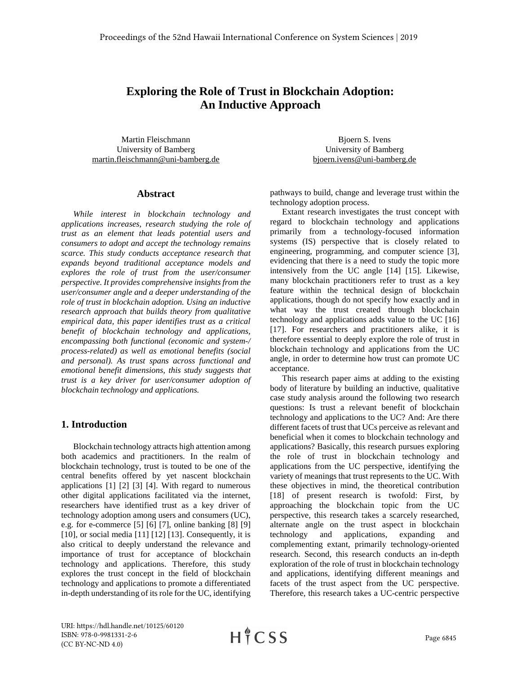# **Exploring the Role of Trust in Blockchain Adoption: An Inductive Approach**

Martin Fleischmann University of Bamberg [martin.fleischmann@uni-bamberg.de](mailto:martin.fleischmann@uni-bamberg.de)

#### **Abstract**

*While interest in blockchain technology and applications increases, research studying the role of trust as an element that leads potential users and consumers to adopt and accept the technology remains scarce. This study conducts acceptance research that expands beyond traditional acceptance models and explores the role of trust from the user/consumer perspective. It provides comprehensive insights from the user/consumer angle and a deeper understanding of the role of trust in blockchain adoption. Using an inductive research approach that builds theory from qualitative empirical data, this paper identifies trust as a critical benefit of blockchain technology and applications, encompassing both functional (economic and system-/ process-related) as well as emotional benefits (social and personal). As trust spans across functional and emotional benefit dimensions, this study suggests that trust is a key driver for user/consumer adoption of blockchain technology and applications.*

## **1. Introduction**

Blockchain technology attracts high attention among both academics and practitioners. In the realm of blockchain technology, trust is touted to be one of the central benefits offered by yet nascent blockchain applications [1] [2] [3] [4]. With regard to numerous other digital applications facilitated via the internet, researchers have identified trust as a key driver of technology adoption among users and consumers (UC), e.g. for e-commerce  $[5] [6] [7]$ , online banking  $[8] [9]$ [10], or social media [11] [12] [13]. Consequently, it is also critical to deeply understand the relevance and importance of trust for acceptance of blockchain technology and applications. Therefore, this study explores the trust concept in the field of blockchain technology and applications to promote a differentiated in-depth understanding of its role for the UC, identifying

Bjoern S. Ivens University of Bamberg [bjoern.ivens@uni-bamberg.de](mailto:bjoern.ivens@uni-bamberg.de)

pathways to build, change and leverage trust within the technology adoption process.

Extant research investigates the trust concept with regard to blockchain technology and applications primarily from a technology-focused information systems (IS) perspective that is closely related to engineering, programming, and computer science [3], evidencing that there is a need to study the topic more intensively from the UC angle [14] [15]. Likewise, many blockchain practitioners refer to trust as a key feature within the technical design of blockchain applications, though do not specify how exactly and in what way the trust created through blockchain technology and applications adds value to the UC [16] [17]. For researchers and practitioners alike, it is therefore essential to deeply explore the role of trust in blockchain technology and applications from the UC angle, in order to determine how trust can promote UC acceptance.

This research paper aims at adding to the existing body of literature by building an inductive, qualitative case study analysis around the following two research questions: Is trust a relevant benefit of blockchain technology and applications to the UC? And: Are there different facets of trust that UCs perceive as relevant and beneficial when it comes to blockchain technology and applications? Basically, this research pursues exploring the role of trust in blockchain technology and applications from the UC perspective, identifying the variety of meanings that trust represents to the UC. With these objectives in mind, the theoretical contribution [18] of present research is twofold: First, by approaching the blockchain topic from the UC perspective, this research takes a scarcely researched, alternate angle on the trust aspect in blockchain technology and applications, expanding and complementing extant, primarily technology-oriented research. Second, this research conducts an in-depth exploration of the role of trust in blockchain technology and applications, identifying different meanings and facets of the trust aspect from the UC perspective. Therefore, this research takes a UC-centric perspective

URI: https://hdl.handle.net/10125/60120 ISBN: 978-0-9981331-2-6 (CC BY-NC-ND 4.0)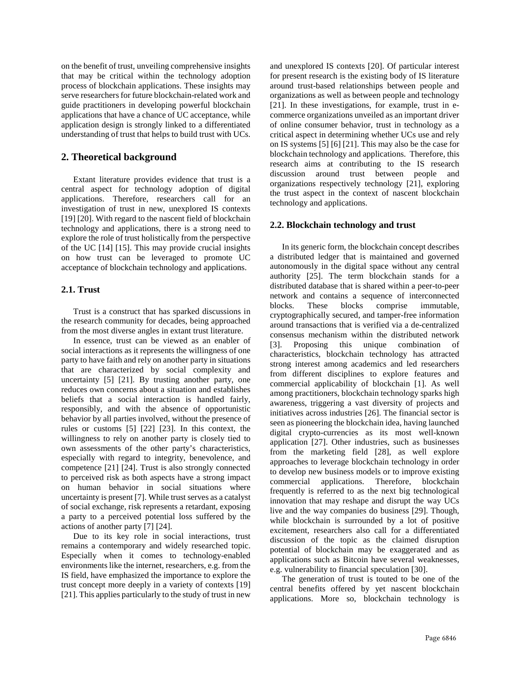on the benefit of trust, unveiling comprehensive insights that may be critical within the technology adoption process of blockchain applications. These insights may serve researchers for future blockchain-related work and guide practitioners in developing powerful blockchain applications that have a chance of UC acceptance, while application design is strongly linked to a differentiated understanding of trust that helps to build trust with UCs.

## **2. Theoretical background**

Extant literature provides evidence that trust is a central aspect for technology adoption of digital applications. Therefore, researchers call for an investigation of trust in new, unexplored IS contexts [19] [20]. With regard to the nascent field of blockchain technology and applications, there is a strong need to explore the role of trust holistically from the perspective of the UC [14] [15]. This may provide crucial insights on how trust can be leveraged to promote UC acceptance of blockchain technology and applications.

#### **2.1. Trust**

Trust is a construct that has sparked discussions in the research community for decades, being approached from the most diverse angles in extant trust literature.

In essence, trust can be viewed as an enabler of social interactions as it represents the willingness of one party to have faith and rely on another party in situations that are characterized by social complexity and uncertainty [5] [21]. By trusting another party, one reduces own concerns about a situation and establishes beliefs that a social interaction is handled fairly, responsibly, and with the absence of opportunistic behavior by all parties involved, without the presence of rules or customs [5] [22] [23]. In this context, the willingness to rely on another party is closely tied to own assessments of the other party's characteristics, especially with regard to integrity, benevolence, and competence [21] [24]. Trust is also strongly connected to perceived risk as both aspects have a strong impact on human behavior in social situations where uncertainty is present [7]. While trust serves as a catalyst of social exchange, risk represents a retardant, exposing a party to a perceived potential loss suffered by the actions of another party [7] [24].

Due to its key role in social interactions, trust remains a contemporary and widely researched topic. Especially when it comes to technology-enabled environments like the internet, researchers, e.g. from the IS field, have emphasized the importance to explore the trust concept more deeply in a variety of contexts [19] [21]. This applies particularly to the study of trust in new

and unexplored IS contexts [20]. Of particular interest for present research is the existing body of IS literature around trust-based relationships between people and organizations as well as between people and technology [21]. In these investigations, for example, trust in ecommerce organizations unveiled as an important driver of online consumer behavior, trust in technology as a critical aspect in determining whether UCs use and rely on IS systems [5] [6] [21]. This may also be the case for blockchain technology and applications. Therefore, this research aims at contributing to the IS research discussion around trust between people and organizations respectively technology [21], exploring the trust aspect in the context of nascent blockchain technology and applications.

#### **2.2. Blockchain technology and trust**

In its generic form, the blockchain concept describes a distributed ledger that is maintained and governed autonomously in the digital space without any central authority [25]. The term blockchain stands for a distributed database that is shared within a peer-to-peer network and contains a sequence of interconnected blocks. These blocks comprise immutable, cryptographically secured, and tamper-free information around transactions that is verified via a de-centralized consensus mechanism within the distributed network [3]. Proposing this unique combination of characteristics, blockchain technology has attracted strong interest among academics and led researchers from different disciplines to explore features and commercial applicability of blockchain [1]. As well among practitioners, blockchain technology sparks high awareness, triggering a vast diversity of projects and initiatives across industries [26]. The financial sector is seen as pioneering the blockchain idea, having launched digital crypto-currencies as its most well-known application [27]. Other industries, such as businesses from the marketing field [28], as well explore approaches to leverage blockchain technology in order to develop new business models or to improve existing commercial applications. Therefore, blockchain frequently is referred to as the next big technological innovation that may reshape and disrupt the way UCs live and the way companies do business [29]. Though, while blockchain is surrounded by a lot of positive excitement, researchers also call for a differentiated discussion of the topic as the claimed disruption potential of blockchain may be exaggerated and as applications such as Bitcoin have several weaknesses, e.g. vulnerability to financial speculation [30].

The generation of trust is touted to be one of the central benefits offered by yet nascent blockchain applications. More so, blockchain technology is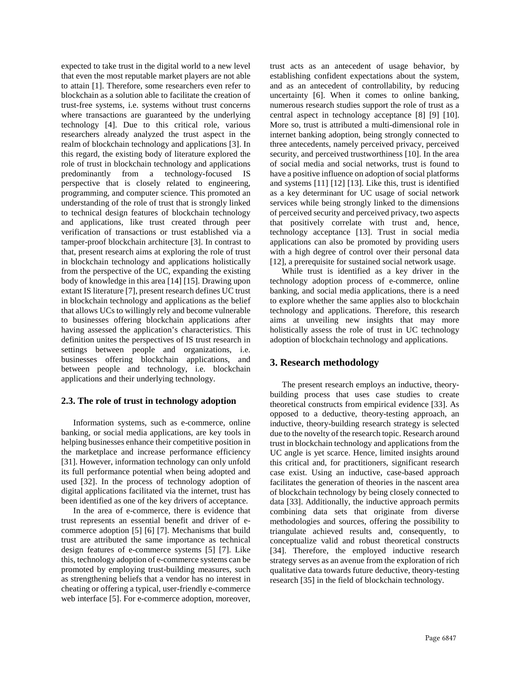expected to take trust in the digital world to a new level that even the most reputable market players are not able to attain [1]. Therefore, some researchers even refer to blockchain as a solution able to facilitate the creation of trust-free systems, i.e. systems without trust concerns where transactions are guaranteed by the underlying technology [4]. Due to this critical role, various researchers already analyzed the trust aspect in the realm of blockchain technology and applications [3]. In this regard, the existing body of literature explored the role of trust in blockchain technology and applications predominantly from a technology-focused IS perspective that is closely related to engineering, programming, and computer science. This promoted an understanding of the role of trust that is strongly linked to technical design features of blockchain technology and applications, like trust created through peer verification of transactions or trust established via a tamper-proof blockchain architecture [3]. In contrast to that, present research aims at exploring the role of trust in blockchain technology and applications holistically from the perspective of the UC, expanding the existing body of knowledge in this area [14] [15]. Drawing upon extant IS literature [7], present research defines UC trust in blockchain technology and applications as the belief that allows UCs to willingly rely and become vulnerable to businesses offering blockchain applications after having assessed the application's characteristics. This definition unites the perspectives of IS trust research in settings between people and organizations, i.e. businesses offering blockchain applications, and between people and technology, i.e. blockchain applications and their underlying technology.

#### **2.3. The role of trust in technology adoption**

Information systems, such as e-commerce, online banking, or social media applications, are key tools in helping businesses enhance their competitive position in the marketplace and increase performance efficiency [31]. However, information technology can only unfold its full performance potential when being adopted and used [32]. In the process of technology adoption of digital applications facilitated via the internet, trust has been identified as one of the key drivers of acceptance.

In the area of e-commerce, there is evidence that trust represents an essential benefit and driver of ecommerce adoption [5] [6] [7]. Mechanisms that build trust are attributed the same importance as technical design features of e-commerce systems [5] [7]. Like this, technology adoption of e-commerce systems can be promoted by employing trust-building measures, such as strengthening beliefs that a vendor has no interest in cheating or offering a typical, user-friendly e-commerce web interface [5]. For e-commerce adoption, moreover,

trust acts as an antecedent of usage behavior, by establishing confident expectations about the system, and as an antecedent of controllability, by reducing uncertainty [6]. When it comes to online banking, numerous research studies support the role of trust as a central aspect in technology acceptance [8] [9] [10]. More so, trust is attributed a multi-dimensional role in internet banking adoption, being strongly connected to three antecedents, namely perceived privacy, perceived security, and perceived trustworthiness [10]. In the area of social media and social networks, trust is found to have a positive influence on adoption of social platforms and systems [11] [12] [13]. Like this, trust is identified as a key determinant for UC usage of social network services while being strongly linked to the dimensions of perceived security and perceived privacy, two aspects that positively correlate with trust and, hence, technology acceptance [13]. Trust in social media applications can also be promoted by providing users with a high degree of control over their personal data [12], a prerequisite for sustained social network usage.

While trust is identified as a key driver in the technology adoption process of e-commerce, online banking, and social media applications, there is a need to explore whether the same applies also to blockchain technology and applications. Therefore, this research aims at unveiling new insights that may more holistically assess the role of trust in UC technology adoption of blockchain technology and applications.

# **3. Research methodology**

The present research employs an inductive, theorybuilding process that uses case studies to create theoretical constructs from empirical evidence [33]. As opposed to a deductive, theory-testing approach, an inductive, theory-building research strategy is selected due to the novelty of the research topic. Research around trust in blockchain technology and applications from the UC angle is yet scarce. Hence, limited insights around this critical and, for practitioners, significant research case exist. Using an inductive, case-based approach facilitates the generation of theories in the nascent area of blockchain technology by being closely connected to data [33]. Additionally, the inductive approach permits combining data sets that originate from diverse methodologies and sources, offering the possibility to triangulate achieved results and, consequently, to conceptualize valid and robust theoretical constructs [34]. Therefore, the employed inductive research strategy serves as an avenue from the exploration of rich qualitative data towards future deductive, theory-testing research [35] in the field of blockchain technology.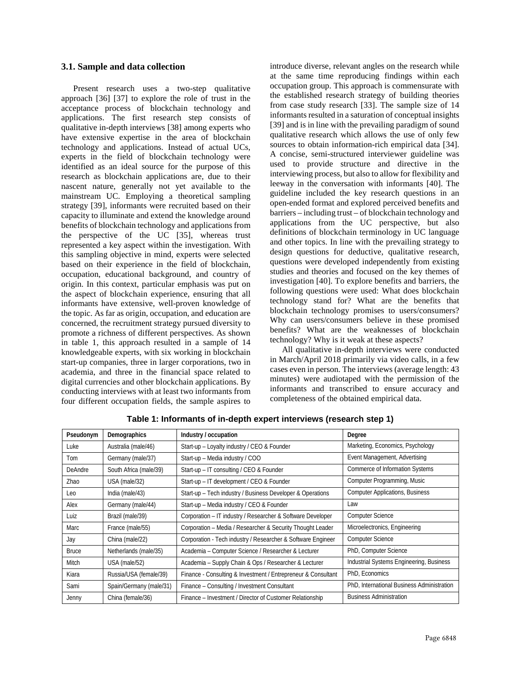#### **3.1. Sample and data collection**

Present research uses a two-step qualitative approach [36] [37] to explore the role of trust in the acceptance process of blockchain technology and applications. The first research step consists of qualitative in-depth interviews [38] among experts who have extensive expertise in the area of blockchain technology and applications. Instead of actual UCs, experts in the field of blockchain technology were identified as an ideal source for the purpose of this research as blockchain applications are, due to their nascent nature, generally not yet available to the mainstream UC. Employing a theoretical sampling strategy [39], informants were recruited based on their capacity to illuminate and extend the knowledge around benefits of blockchain technology and applications from the perspective of the UC [35], whereas trust represented a key aspect within the investigation. With this sampling objective in mind, experts were selected based on their experience in the field of blockchain, occupation, educational background, and country of origin. In this context, particular emphasis was put on the aspect of blockchain experience, ensuring that all informants have extensive, well-proven knowledge of the topic. As far as origin, occupation, and education are concerned, the recruitment strategy pursued diversity to promote a richness of different perspectives. As shown in table 1, this approach resulted in a sample of 14 knowledgeable experts, with six working in blockchain start-up companies, three in larger corporations, two in academia, and three in the financial space related to digital currencies and other blockchain applications. By conducting interviews with at least two informants from four different occupation fields, the sample aspires to

introduce diverse, relevant angles on the research while at the same time reproducing findings within each occupation group. This approach is commensurate with the established research strategy of building theories from case study research [33]. The sample size of 14 informants resulted in a saturation of conceptual insights [39] and is in line with the prevailing paradigm of sound qualitative research which allows the use of only few sources to obtain information-rich empirical data [34]. A concise, semi-structured interviewer guideline was used to provide structure and directive in the interviewing process, but also to allow for flexibility and leeway in the conversation with informants [40]. The guideline included the key research questions in an open-ended format and explored perceived benefits and barriers – including trust – of blockchain technology and applications from the UC perspective, but also definitions of blockchain terminology in UC language and other topics. In line with the prevailing strategy to design questions for deductive, qualitative research, questions were developed independently from existing studies and theories and focused on the key themes of investigation [40]. To explore benefits and barriers, the following questions were used: What does blockchain technology stand for? What are the benefits that blockchain technology promises to users/consumers? Why can users/consumers believe in these promised benefits? What are the weaknesses of blockchain technology? Why is it weak at these aspects?

All qualitative in-depth interviews were conducted in March/April 2018 primarily via video calls, in a few cases even in person. The interviews (average length: 43 minutes) were audiotaped with the permission of the informants and transcribed to ensure accuracy and completeness of the obtained empirical data.

| Pseudonym    | Demographics            | Industry / occupation                                         | Degree                                     |
|--------------|-------------------------|---------------------------------------------------------------|--------------------------------------------|
| Luke         | Australia (male/46)     | Start-up - Loyalty industry / CEO & Founder                   | Marketing, Economics, Psychology           |
| Tom          | Germany (male/37)       | Start-up - Media industry / COO                               | Event Management, Advertising              |
| DeAndre      | South Africa (male/39)  | Start-up - IT consulting / CEO & Founder                      | <b>Commerce of Information Systems</b>     |
| Zhao         | USA (male/32)           | Start-up - IT development / CEO & Founder                     | Computer Programming, Music                |
| Leo          | India (male/43)         | Start-up - Tech industry / Business Developer & Operations    | <b>Computer Applications, Business</b>     |
| Alex         | Germany (male/44)       | Start-up - Media industry / CEO & Founder                     | Law                                        |
| Luiz         | Brazil (male/39)        | Corporation - IT industry / Researcher & Software Developer   | <b>Computer Science</b>                    |
| Marc         | France (male/55)        | Corporation - Media / Researcher & Security Thought Leader    | Microelectronics, Engineering              |
| Jay          | China (male/22)         | Corporation - Tech industry / Researcher & Software Engineer  | <b>Computer Science</b>                    |
| <b>Bruce</b> | Netherlands (male/35)   | Academia – Computer Science / Researcher & Lecturer           | PhD, Computer Science                      |
| Mitch        | USA (male/52)           | Academia - Supply Chain & Ops / Researcher & Lecturer         | Industrial Systems Engineering, Business   |
| Kiara        | Russia/USA (female/39)  | Finance - Consulting & Investment / Entrepreneur & Consultant | PhD, Economics                             |
| Sami         | Spain/Germany (male/31) | Finance - Consulting / Investment Consultant                  | PhD, International Business Administration |
| Jenny        | China (female/36)       | Finance – Investment / Director of Customer Relationship      | <b>Business Administration</b>             |

**Table 1: Informants of in-depth expert interviews (research step 1)**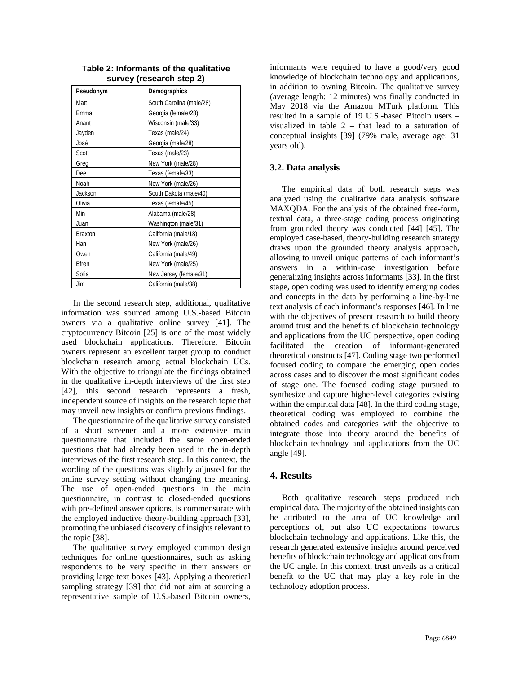| Pseudonym      | Demographics             |
|----------------|--------------------------|
| Matt           | South Carolina (male/28) |
| Emma           | Georgia (female/28)      |
| Anant          | Wisconsin (male/33)      |
| Jayden         | Texas (male/24)          |
| José           | Georgia (male/28)        |
| Scott          | Texas (male/23)          |
| Greg           | New York (male/28)       |
| Dee            | Texas (female/33)        |
| Noah           | New York (male/26)       |
| Jackson        | South Dakota (male/40)   |
| Olivia         | Texas (female/45)        |
| Min            | Alabama (male/28)        |
| Juan           | Washington (male/31)     |
| <b>Braxton</b> | California (male/18)     |
| Han            | New York (male/26)       |
| Owen           | California (male/49)     |
| Efren          | New York (male/25)       |
| Sofia          | New Jersey (female/31)   |
| Jim            | California (male/38)     |

**Table 2: Informants of the qualitative survey (research step 2)**

In the second research step, additional, qualitative information was sourced among U.S.-based Bitcoin owners via a qualitative online survey [41]. The cryptocurrency Bitcoin [25] is one of the most widely used blockchain applications. Therefore, Bitcoin owners represent an excellent target group to conduct blockchain research among actual blockchain UCs. With the objective to triangulate the findings obtained in the qualitative in-depth interviews of the first step [42], this second research represents a fresh, independent source of insights on the research topic that may unveil new insights or confirm previous findings.

The questionnaire of the qualitative survey consisted of a short screener and a more extensive main questionnaire that included the same open-ended questions that had already been used in the in-depth interviews of the first research step. In this context, the wording of the questions was slightly adjusted for the online survey setting without changing the meaning. The use of open-ended questions in the main questionnaire, in contrast to closed-ended questions with pre-defined answer options, is commensurate with the employed inductive theory-building approach [33], promoting the unbiased discovery of insights relevant to the topic [38].

The qualitative survey employed common design techniques for online questionnaires, such as asking respondents to be very specific in their answers or providing large text boxes [43]. Applying a theoretical sampling strategy [39] that did not aim at sourcing a representative sample of U.S.-based Bitcoin owners,

informants were required to have a good/very good knowledge of blockchain technology and applications, in addition to owning Bitcoin. The qualitative survey (average length: 12 minutes) was finally conducted in May 2018 via the Amazon MTurk platform. This resulted in a sample of 19 U.S.-based Bitcoin users – visualized in table 2 – that lead to a saturation of conceptual insights [39] (79% male, average age: 31 years old).

#### **3.2. Data analysis**

The empirical data of both research steps was analyzed using the qualitative data analysis software MAXQDA. For the analysis of the obtained free-form, textual data, a three-stage coding process originating from grounded theory was conducted [44] [45]. The employed case-based, theory-building research strategy draws upon the grounded theory analysis approach, allowing to unveil unique patterns of each informant's answers in a within-case investigation before generalizing insights across informants [33]. In the first stage, open coding was used to identify emerging codes and concepts in the data by performing a line-by-line text analysis of each informant's responses [46]. In line with the objectives of present research to build theory around trust and the benefits of blockchain technology and applications from the UC perspective, open coding facilitated the creation of informant-generated theoretical constructs [47]. Coding stage two performed focused coding to compare the emerging open codes across cases and to discover the most significant codes of stage one. The focused coding stage pursued to synthesize and capture higher-level categories existing within the empirical data [48]. In the third coding stage, theoretical coding was employed to combine the obtained codes and categories with the objective to integrate those into theory around the benefits of blockchain technology and applications from the UC angle [49].

# **4. Results**

Both qualitative research steps produced rich empirical data. The majority of the obtained insights can be attributed to the area of UC knowledge and perceptions of, but also UC expectations towards blockchain technology and applications. Like this, the research generated extensive insights around perceived benefits of blockchain technology and applications from the UC angle. In this context, trust unveils as a critical benefit to the UC that may play a key role in the technology adoption process.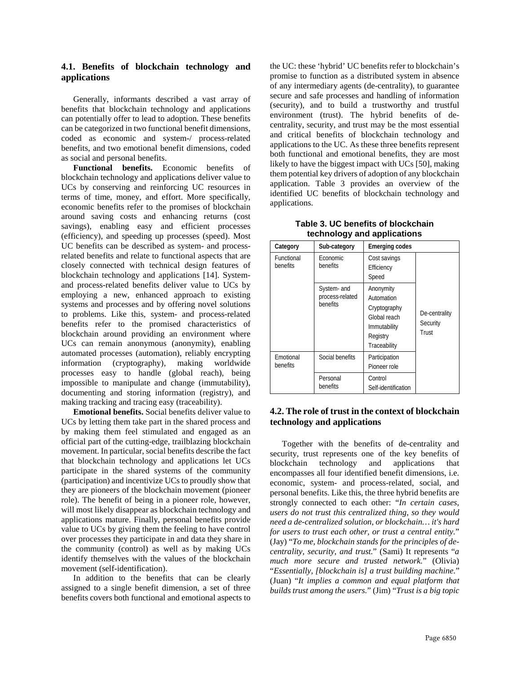## **4.1. Benefits of blockchain technology and applications**

Generally, informants described a vast array of benefits that blockchain technology and applications can potentially offer to lead to adoption. These benefits can be categorized in two functional benefit dimensions, coded as economic and system-/ process-related benefits, and two emotional benefit dimensions, coded as social and personal benefits.

**Functional benefits.** Economic benefits of blockchain technology and applications deliver value to UCs by conserving and reinforcing UC resources in terms of time, money, and effort. More specifically, economic benefits refer to the promises of blockchain around saving costs and enhancing returns (cost savings), enabling easy and efficient processes (efficiency), and speeding up processes (speed). Most UC benefits can be described as system- and processrelated benefits and relate to functional aspects that are closely connected with technical design features of blockchain technology and applications [14]. Systemand process-related benefits deliver value to UCs by employing a new, enhanced approach to existing systems and processes and by offering novel solutions to problems. Like this, system- and process-related benefits refer to the promised characteristics of blockchain around providing an environment where UCs can remain anonymous (anonymity), enabling automated processes (automation), reliably encrypting information (cryptography), making worldwide processes easy to handle (global reach), being impossible to manipulate and change (immutability), documenting and storing information (registry), and making tracking and tracing easy (traceability).

**Emotional benefits.** Social benefits deliver value to UCs by letting them take part in the shared process and by making them feel stimulated and engaged as an official part of the cutting-edge, trailblazing blockchain movement. In particular, social benefits describe the fact that blockchain technology and applications let UCs participate in the shared systems of the community (participation) and incentivize UCs to proudly show that they are pioneers of the blockchain movement (pioneer role). The benefit of being in a pioneer role, however, will most likely disappear as blockchain technology and applications mature. Finally, personal benefits provide value to UCs by giving them the feeling to have control over processes they participate in and data they share in the community (control) as well as by making UCs identify themselves with the values of the blockchain movement (self-identification).

In addition to the benefits that can be clearly assigned to a single benefit dimension, a set of three benefits covers both functional and emotional aspects to

the UC: these 'hybrid' UC benefits refer to blockchain's promise to function as a distributed system in absence of any intermediary agents (de-centrality), to guarantee secure and safe processes and handling of information (security), and to build a trustworthy and trustful environment (trust). The hybrid benefits of decentrality, security, and trust may be the most essential and critical benefits of blockchain technology and applications to the UC. As these three benefits represent both functional and emotional benefits, they are most likely to have the biggest impact with UCs [50], making them potential key drivers of adoption of any blockchain application. Table 3 provides an overview of the identified UC benefits of blockchain technology and applications.

| Table 3. UC benefits of blockchain |  |  |  |
|------------------------------------|--|--|--|
| technology and applications        |  |  |  |

| Category               | Sub-category                               | <b>Emerging codes</b>                                                                               |                                    |
|------------------------|--------------------------------------------|-----------------------------------------------------------------------------------------------------|------------------------------------|
| Functional<br>benefits | Economic<br>benefits                       | Cost savings<br>Efficiency<br>Speed                                                                 | De-centrality<br>Security<br>Trust |
|                        | System- and<br>process-related<br>benefits | Anonymity<br>Automation<br>Cryptography<br>Global reach<br>Immutability<br>Registry<br>Traceability |                                    |
| Emotional<br>benefits  | Social benefits                            | Participation<br>Pioneer role                                                                       |                                    |
|                        | Personal<br>benefits                       | Control<br>Self-identification                                                                      |                                    |

## **4.2. The role of trust in the context of blockchain technology and applications**

Together with the benefits of de-centrality and security, trust represents one of the key benefits of blockchain technology and applications that blockchain technology and applications that encompasses all four identified benefit dimensions, i.e. economic, system- and process-related, social, and personal benefits. Like this, the three hybrid benefits are strongly connected to each other: "*In certain cases, users do not trust this centralized thing, so they would need a de-centralized solution, or blockchain… it's hard for users to trust each other, or trust a central entity.*" (Jay) "*To me, blockchain stands for the principles of decentrality, security, and trust.*" (Sami) It represents "*a much more secure and trusted network.*" (Olivia) "*Essentially, [blockchain is] a trust building machine.*" (Juan) "*It implies a common and equal platform that builds trust among the users.*" (Jim) "*Trust is a big topic*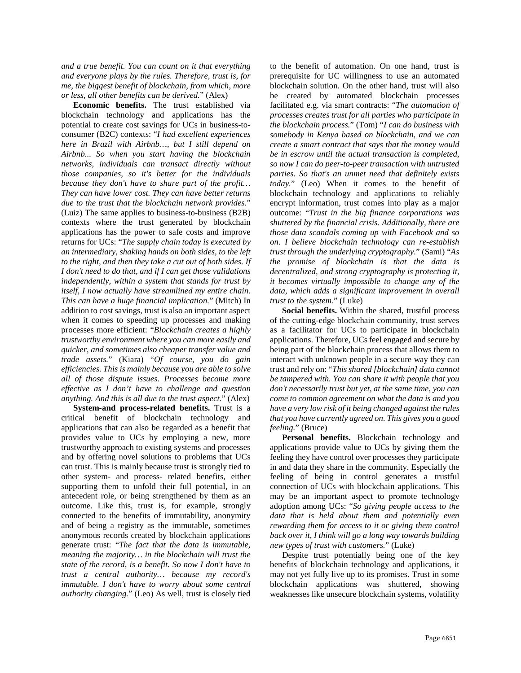*and a true benefit. You can count on it that everything and everyone plays by the rules. Therefore, trust is, for me, the biggest benefit of blockchain, from which, more or less, all other benefits can be derived.*" (Alex)

**Economic benefits.** The trust established via blockchain technology and applications has the potential to create cost savings for UCs in business-toconsumer (B2C) contexts: "*I had excellent experiences here in Brazil with Airbnb…, but I still depend on Airbnb... So when you start having the blockchain networks, individuals can transact directly without those companies, so it's better for the individuals because they don't have to share part of the profit… They can have lower cost. They can have better returns due to the trust that the blockchain network provides.*" (Luiz) The same applies to business-to-business (B2B) contexts where the trust generated by blockchain applications has the power to safe costs and improve returns for UCs: "*The supply chain today is executed by an intermediary, shaking hands on both sides, to the left to the right, and then they take a cut out of both sides. If I don't need to do that, and if I can get those validations independently, within a system that stands for trust by itself, I now actually have streamlined my entire chain. This can have a huge financial implication.*" (Mitch) In addition to cost savings, trust is also an important aspect when it comes to speeding up processes and making processes more efficient: "*Blockchain creates a highly trustworthy environment where you can more easily and quicker, and sometimes also cheaper transfer value and trade assets.*" (Kiara) "*Of course, you do gain efficiencies. This is mainly because you are able to solve all of those dispute issues. Processes become more effective as I don't have to challenge and question anything. And this is all due to the trust aspect.*" (Alex)

**System-and process-related benefits.** Trust is a critical benefit of blockchain technology and applications that can also be regarded as a benefit that provides value to UCs by employing a new, more trustworthy approach to existing systems and processes and by offering novel solutions to problems that UCs can trust. This is mainly because trust is strongly tied to other system- and process- related benefits, either supporting them to unfold their full potential, in an antecedent role, or being strengthened by them as an outcome. Like this, trust is, for example, strongly connected to the benefits of immutability, anonymity and of being a registry as the immutable, sometimes anonymous records created by blockchain applications generate trust: "*The fact that the data is immutable, meaning the majority… in the blockchain will trust the state of the record, is a benefit. So now I don't have to trust a central authority… because my record's immutable. I don't have to worry about some central authority changing.*" (Leo) As well, trust is closely tied

to the benefit of automation. On one hand, trust is prerequisite for UC willingness to use an automated blockchain solution. On the other hand, trust will also be created by automated blockchain processes facilitated e.g. via smart contracts: "*The automation of processes creates trust for all parties who participate in the blockchain process.*" (Tom) "*I can do business with somebody in Kenya based on blockchain, and we can create a smart contract that says that the money would be in escrow until the actual transaction is completed, so now I can do peer-to-peer transaction with untrusted parties. So that's an unmet need that definitely exists today.*" (Leo) When it comes to the benefit of blockchain technology and applications to reliably encrypt information, trust comes into play as a major outcome: "*Trust in the big finance corporations was shuttered by the financial crisis. Additionally, there are those data scandals coming up with Facebook and so on. I believe blockchain technology can re-establish trust through the underlying cryptography.*" (Sami) "*As the promise of blockchain is that the data is decentralized, and strong cryptography is protecting it, it becomes virtually impossible to change any of the data, which adds a significant improvement in overall trust to the system.*" (Luke)

**Social benefits.** Within the shared, trustful process of the cutting-edge blockchain community, trust serves as a facilitator for UCs to participate in blockchain applications. Therefore, UCs feel engaged and secure by being part of the blockchain process that allows them to interact with unknown people in a secure way they can trust and rely on: "*This shared [blockchain] data cannot be tampered with. You can share it with people that you don't necessarily trust but yet, at the same time, you can come to common agreement on what the data is and you have a very low risk of it being changed against the rules that you have currently agreed on. This gives you a good feeling.*" (Bruce)

**Personal benefits.** Blockchain technology and applications provide value to UCs by giving them the feeling they have control over processes they participate in and data they share in the community. Especially the feeling of being in control generates a trustful connection of UCs with blockchain applications. This may be an important aspect to promote technology adoption among UCs: "*So giving people access to the data that is held about them and potentially even rewarding them for access to it or giving them control back over it, I think will go a long way towards building new types of trust with customers.*" (Luke)

Despite trust potentially being one of the key benefits of blockchain technology and applications, it may not yet fully live up to its promises. Trust in some blockchain applications was shuttered, showing weaknesses like unsecure blockchain systems, volatility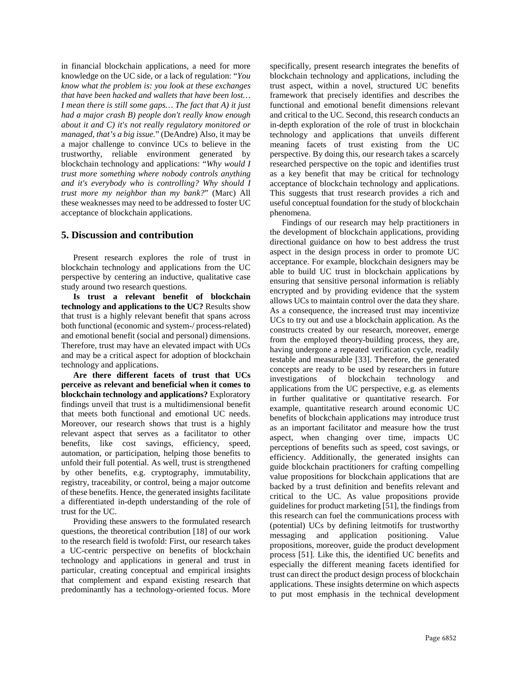in financial blockchain applications, a need for more knowledge on the UC side, or a lack of regulation: "*You know what the problem is: you look at these exchanges that have been hacked and wallets that have been lost… I mean there is still some gaps… The fact that A) it just had a major crash B) people don't really know enough about it and C) it's not really regulatory monitored or managed, that's a big issue.*" (DeAndre) Also, it may be a major challenge to convince UCs to believe in the trustworthy, reliable environment generated by blockchain technology and applications: "*Why would I trust more something where nobody controls anything and it's everybody who is controlling? Why should I trust more my neighbor than my bank?*" (Marc) All these weaknesses may need to be addressed to foster UC acceptance of blockchain applications.

#### **5. Discussion and contribution**

Present research explores the role of trust in blockchain technology and applications from the UC perspective by centering an inductive, qualitative case study around two research questions.

**Is trust a relevant benefit of blockchain technology and applications to the UC?** Results show that trust is a highly relevant benefit that spans across both functional (economic and system-/ process-related) and emotional benefit (social and personal) dimensions. Therefore, trust may have an elevated impact with UCs and may be a critical aspect for adoption of blockchain technology and applications.

**Are there different facets of trust that UCs perceive as relevant and beneficial when it comes to blockchain technology and applications?** Exploratory findings unveil that trust is a multidimensional benefit that meets both functional and emotional UC needs. Moreover, our research shows that trust is a highly relevant aspect that serves as a facilitator to other benefits, like cost savings, efficiency, speed, automation, or participation, helping those benefits to unfold their full potential. As well, trust is strengthened by other benefits, e.g. cryptography, immutability, registry, traceability, or control, being a major outcome of these benefits. Hence, the generated insights facilitate a differentiated in-depth understanding of the role of trust for the UC.

Providing these answers to the formulated research questions, the theoretical contribution [18] of our work to the research field is twofold: First, our research takes a UC-centric perspective on benefits of blockchain technology and applications in general and trust in particular, creating conceptual and empirical insights that complement and expand existing research that predominantly has a technology-oriented focus. More

specifically, present research integrates the benefits of blockchain technology and applications, including the trust aspect, within a novel, structured UC benefits framework that precisely identifies and describes the functional and emotional benefit dimensions relevant and critical to the UC. Second, this research conducts an in-depth exploration of the role of trust in blockchain technology and applications that unveils different meaning facets of trust existing from the UC perspective. By doing this, our research takes a scarcely researched perspective on the topic and identifies trust as a key benefit that may be critical for technology acceptance of blockchain technology and applications. This suggests that trust research provides a rich and useful conceptual foundation for the study of blockchain phenomena.

Findings of our research may help practitioners in the development of blockchain applications, providing directional guidance on how to best address the trust aspect in the design process in order to promote UC acceptance. For example, blockchain designers may be able to build UC trust in blockchain applications by ensuring that sensitive personal information is reliably encrypted and by providing evidence that the system allows UCs to maintain control over the data they share. As a consequence, the increased trust may incentivize UCs to try out and use a blockchain application. As the constructs created by our research, moreover, emerge from the employed theory-building process, they are, having undergone a repeated verification cycle, readily testable and measurable [33]. Therefore, the generated concepts are ready to be used by researchers in future investigations of blockchain technology and applications from the UC perspective, e.g. as elements in further qualitative or quantitative research. For example, quantitative research around economic UC benefits of blockchain applications may introduce trust as an important facilitator and measure how the trust aspect, when changing over time, impacts UC perceptions of benefits such as speed, cost savings, or efficiency. Additionally, the generated insights can guide blockchain practitioners for crafting compelling value propositions for blockchain applications that are backed by a trust definition and benefits relevant and critical to the UC. As value propositions provide guidelines for product marketing [51], the findings from this research can fuel the communications process with (potential) UCs by defining leitmotifs for trustworthy messaging and application positioning. Value propositions, moreover, guide the product development process [51]. Like this, the identified UC benefits and especially the different meaning facets identified for trust can direct the product design process of blockchain applications. These insights determine on which aspects to put most emphasis in the technical development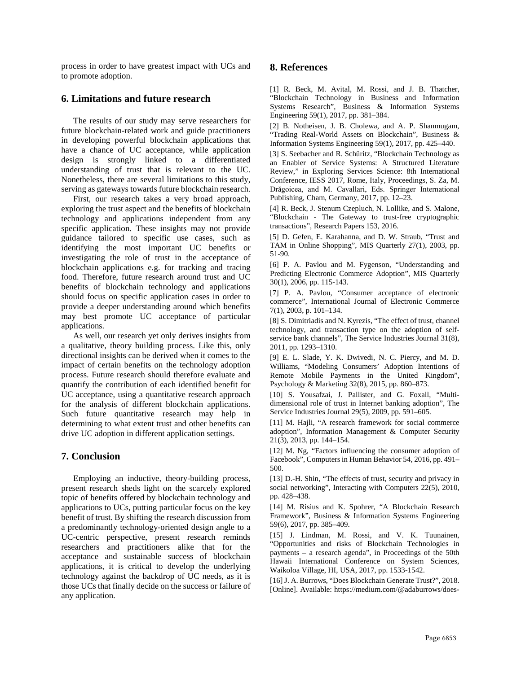process in order to have greatest impact with UCs and to promote adoption.

## **6. Limitations and future research**

The results of our study may serve researchers for future blockchain-related work and guide practitioners in developing powerful blockchain applications that have a chance of UC acceptance, while application design is strongly linked to a differentiated understanding of trust that is relevant to the UC. Nonetheless, there are several limitations to this study, serving as gateways towards future blockchain research.

First, our research takes a very broad approach, exploring the trust aspect and the benefits of blockchain technology and applications independent from any specific application. These insights may not provide guidance tailored to specific use cases, such as identifying the most important UC benefits or investigating the role of trust in the acceptance of blockchain applications e.g. for tracking and tracing food. Therefore, future research around trust and UC benefits of blockchain technology and applications should focus on specific application cases in order to provide a deeper understanding around which benefits may best promote UC acceptance of particular applications.

As well, our research yet only derives insights from a qualitative, theory building process. Like this, only directional insights can be derived when it comes to the impact of certain benefits on the technology adoption process. Future research should therefore evaluate and quantify the contribution of each identified benefit for UC acceptance, using a quantitative research approach for the analysis of different blockchain applications. Such future quantitative research may help in determining to what extent trust and other benefits can drive UC adoption in different application settings.

# **7. Conclusion**

Employing an inductive, theory-building process, present research sheds light on the scarcely explored topic of benefits offered by blockchain technology and applications to UCs, putting particular focus on the key benefit of trust. By shifting the research discussion from a predominantly technology-oriented design angle to a UC-centric perspective, present research reminds researchers and practitioners alike that for the acceptance and sustainable success of blockchain applications, it is critical to develop the underlying technology against the backdrop of UC needs, as it is those UCs that finally decide on the success or failure of any application.

# **8. References**

[1] R. Beck, M. Avital, M. Rossi, and J. B. Thatcher, "Blockchain Technology in Business and Information Systems Research", Business & Information Systems Engineering 59(1), 2017, pp. 381–384.

[2] B. Notheisen, J. B. Cholewa, and A. P. Shanmugam, "Trading Real-World Assets on Blockchain", Business & Information Systems Engineering 59(1), 2017, pp. 425–440.

[3] S. Seebacher and R. Schüritz, "Blockchain Technology as an Enabler of Service Systems: A Structured Literature Review," in Exploring Services Science: 8th International Conference, IESS 2017, Rome, Italy, Proceedings, S. Za, M. Drăgoicea, and M. Cavallari, Eds. Springer International Publishing, Cham, Germany, 2017, pp. 12–23.

[4] R. Beck, J. Stenum Czepluch, N. Lollike, and S. Malone, "Blockchain - The Gateway to trust-free cryptographic transactions", Research Papers 153, 2016.

[5] D. Gefen, E. Karahanna, and D. W. Straub, "Trust and TAM in Online Shopping", MIS Quarterly 27(1), 2003, pp. 51-90.

[6] P. A. Pavlou and M. Fygenson, "Understanding and Predicting Electronic Commerce Adoption", MIS Quarterly 30(1), 2006, pp. 115-143.

[7] P. A. Pavlou, "Consumer acceptance of electronic commerce", International Journal of Electronic Commerce 7(1), 2003, p. 101–134.

[8] S. Dimitriadis and N. Kyrezis, "The effect of trust, channel technology, and transaction type on the adoption of selfservice bank channels", The Service Industries Journal 31(8), 2011, pp. 1293–1310.

[9] E. L. Slade, Y. K. Dwivedi, N. C. Piercy, and M. D. Williams, "Modeling Consumers' Adoption Intentions of Remote Mobile Payments in the United Kingdom", Psychology & Marketing 32(8), 2015, pp. 860–873.

[10] S. Yousafzai, J. Pallister, and G. Foxall, "Multidimensional role of trust in Internet banking adoption", The Service Industries Journal 29(5), 2009, pp. 591–605.

[11] M. Hajli, "A research framework for social commerce adoption", Information Management & Computer Security 21(3), 2013, pp. 144–154.

[12] M. Ng, "Factors influencing the consumer adoption of Facebook", Computers in Human Behavior 54, 2016, pp. 491– 500.

[13] D.-H. Shin, "The effects of trust, security and privacy in social networking", Interacting with Computers 22(5), 2010, pp. 428–438.

[14] M. Risius and K. Spohrer, "A Blockchain Research Framework", Business & Information Systems Engineering 59(6), 2017, pp. 385–409.

[15] J. Lindman, M. Rossi, and V. K. Tuunainen, "Opportunities and risks of Blockchain Technologies in payments – a research agenda", in Proceedings of the 50th Hawaii International Conference on System Sciences, Waikoloa Village, HI, USA, 2017, pp. 1533-1542.

[16] J. A. Burrows, "Does Blockchain Generate Trust?", 2018. [Online]. Available: https://medium.com/@adaburrows/does